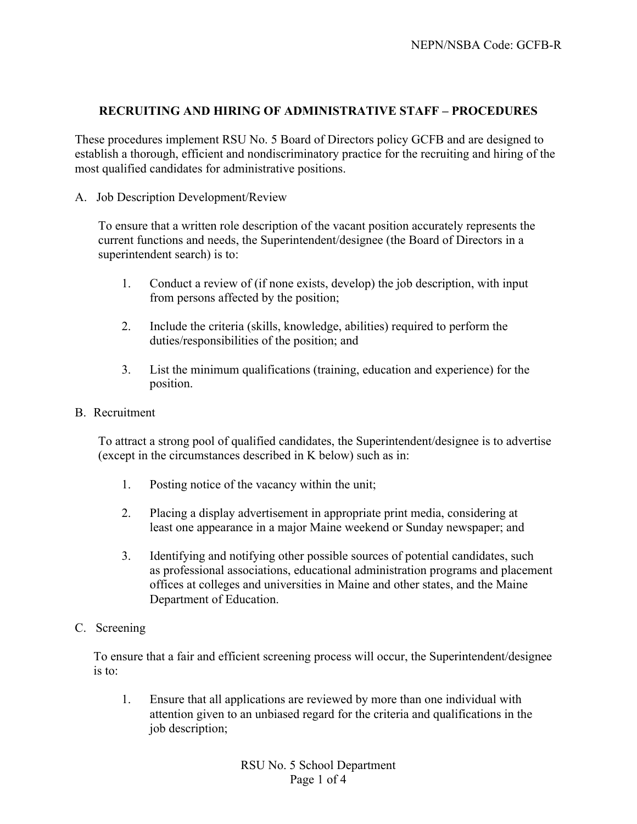# **RECRUITING AND HIRING OF ADMINISTRATIVE STAFF – PROCEDURES**

These procedures implement RSU No. 5 Board of Directors policy GCFB and are designed to establish a thorough, efficient and nondiscriminatory practice for the recruiting and hiring of the most qualified candidates for administrative positions.

A. Job Description Development/Review

To ensure that a written role description of the vacant position accurately represents the current functions and needs, the Superintendent/designee (the Board of Directors in a superintendent search) is to:

- 1. Conduct a review of (if none exists, develop) the job description, with input from persons affected by the position;
- 2. Include the criteria (skills, knowledge, abilities) required to perform the duties/responsibilities of the position; and
- 3. List the minimum qualifications (training, education and experience) for the position.
- B. Recruitment

To attract a strong pool of qualified candidates, the Superintendent/designee is to advertise (except in the circumstances described in K below) such as in:

- 1. Posting notice of the vacancy within the unit;
- 2. Placing a display advertisement in appropriate print media, considering at least one appearance in a major Maine weekend or Sunday newspaper; and
- 3. Identifying and notifying other possible sources of potential candidates, such as professional associations, educational administration programs and placement offices at colleges and universities in Maine and other states, and the Maine Department of Education.
- C. Screening

To ensure that a fair and efficient screening process will occur, the Superintendent/designee is to:

1. Ensure that all applications are reviewed by more than one individual with attention given to an unbiased regard for the criteria and qualifications in the job description;

> RSU No. 5 School Department Page 1 of 4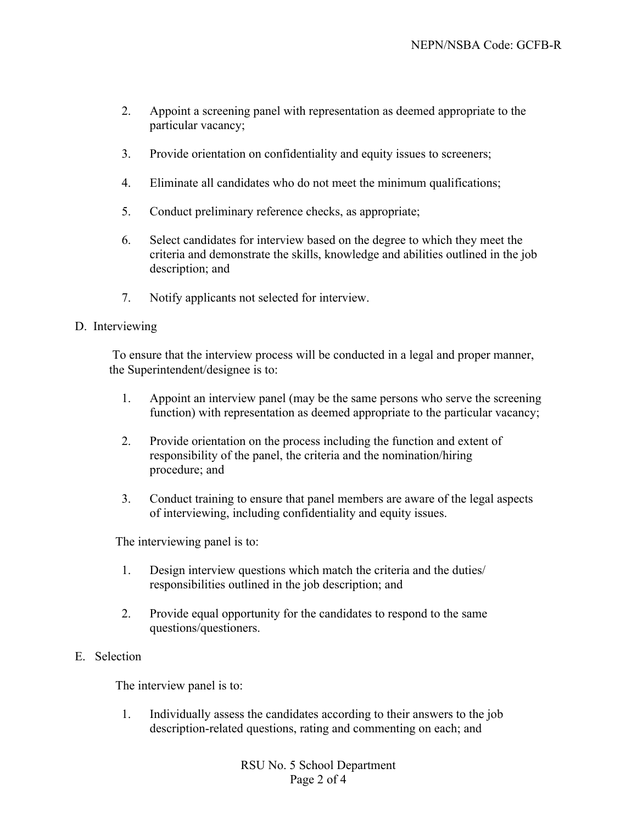- 2. Appoint a screening panel with representation as deemed appropriate to the particular vacancy;
- 3. Provide orientation on confidentiality and equity issues to screeners;
- 4. Eliminate all candidates who do not meet the minimum qualifications;
- 5. Conduct preliminary reference checks, as appropriate;
- 6. Select candidates for interview based on the degree to which they meet the criteria and demonstrate the skills, knowledge and abilities outlined in the job description; and
- 7. Notify applicants not selected for interview.

# D. Interviewing

 To ensure that the interview process will be conducted in a legal and proper manner, the Superintendent/designee is to:

- 1. Appoint an interview panel (may be the same persons who serve the screening function) with representation as deemed appropriate to the particular vacancy;
- 2. Provide orientation on the process including the function and extent of responsibility of the panel, the criteria and the nomination/hiring procedure; and
- 3. Conduct training to ensure that panel members are aware of the legal aspects of interviewing, including confidentiality and equity issues.

The interviewing panel is to:

- 1. Design interview questions which match the criteria and the duties/ responsibilities outlined in the job description; and
- 2. Provide equal opportunity for the candidates to respond to the same questions/questioners.

# E. Selection

The interview panel is to:

1. Individually assess the candidates according to their answers to the job description-related questions, rating and commenting on each; and

> RSU No. 5 School Department Page 2 of 4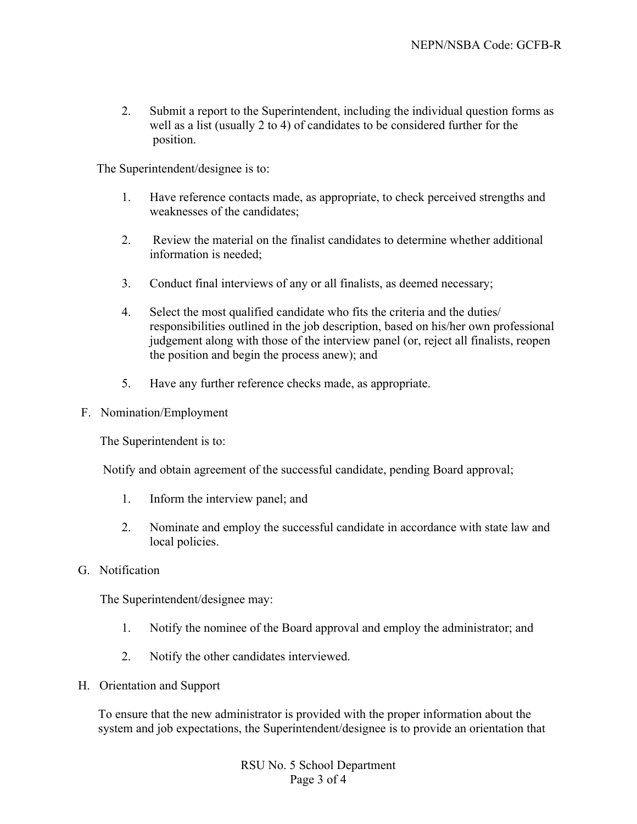2. Submit a report to the Superintendent, including the individual question forms as well as a list (usually 2 to 4) of candidates to be considered further for the position.

The Superintendent/designee is to:

- 1. Have reference contacts made, as appropriate, to check perceived strengths and weaknesses of the candidates;
- 2. Review the material on the finalist candidates to determine whether additional information is needed;
- 3. Conduct final interviews of any or all finalists, as deemed necessary;
- 4. Select the most qualified candidate who fits the criteria and the duties/ responsibilities outlined in the job description, based on his/her own professional judgement along with those of the interview panel (or, reject all finalists, reopen the position and begin the process anew); and
- 5. Have any further reference checks made, as appropriate.
- F. Nomination/Employment

The Superintendent is to:

Notify and obtain agreement of the successful candidate, pending Board approval;

- 1. Inform the interview panel; and
- 2. Nominate and employ the successful candidate in accordance with state law and local policies.
- G. Notification

The Superintendent/designee may:

- 1. Notify the nominee of the Board approval and employ the administrator; and
- 2. Notify the other candidates interviewed.
- H. Orientation and Support

To ensure that the new administrator is provided with the proper information about the system and job expectations, the Superintendent/designee is to provide an orientation that

> RSU No. 5 School Department Page 3 of 4